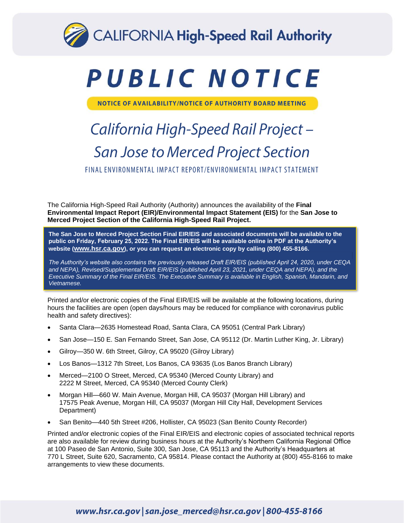

# PUBLIC NOTICE

NOTICE OF AVAILABILITY/NOTICE OF AUTHORITY BOARD MEETING

# California High-Speed Rail Project-**San Jose to Merced Project Section**

FINAL ENVIRONMENTAL IMPACT REPORT/ENVIRONMENTAL IMPACT STATEMENT

The California High-Speed Rail Authority (Authority) announces the availability of the **Final Environmental Impact Report (EIR)/Environmental Impact Statement (EIS)** for the **San Jose to Merced Project Section of the California High-Speed Rail Project.**

**The San Jose to Merced Project Section Final EIR/EIS and associated documents will be available to the public on Friday, February 25, 2022. The Final EIR/EIS will be available online in PDF at the Authority's website ([www.hsr.ca.gov](http://www.hsr.ca.gov/)), or you can request an electronic copy by calling (800) 455-8166.** 

*The Authority's website also contains the previously released Draft EIR/EIS (published April 24, 2020, under CEQA and NEPA), Revised/Supplemental Draft EIR/EIS (published April 23, 2021, under CEQA and NEPA), and the Executive Summary of the Final EIR/EIS. The Executive Summary is available in English, Spanish, Mandarin, and Vietnamese.*

Printed and/or electronic copies of the Final EIR/EIS will be available at the following locations, during hours the facilities are open (open days/hours may be reduced for compliance with coronavirus public health and safety directives):

- Santa Clara—2635 Homestead Road, Santa Clara, CA 95051 (Central Park Library)
- San Jose—150 E. San Fernando Street, San Jose, CA 95112 (Dr. Martin Luther King, Jr. Library)
- Gilroy—350 W. 6th Street, Gilroy, CA 95020 (Gilroy Library)
- Los Banos—1312 7th Street, Los Banos, CA 93635 (Los Banos Branch Library)
- Merced—2100 O Street, Merced, CA 95340 (Merced County Library) and 2222 M Street, Merced, CA 95340 (Merced County Clerk)
- Morgan Hill—660 W. Main Avenue, Morgan Hill, CA 95037 (Morgan Hill Library) and 17575 Peak Avenue, Morgan Hill, CA 95037 (Morgan Hill City Hall, Development Services Department)
- San Benito—440 5th Street #206, Hollister, CA 95023 (San Benito County Recorder)

Printed and/or electronic copies of the Final EIR/EIS and electronic copies of associated technical reports are also available for review during business hours at the Authority's Northern California Regional Office at 100 Paseo de San Antonio, Suite 300, San Jose, CA 95113 and the Authority's Headquarters at 770 L Street, Suite 620, Sacramento, CA 95814. Please contact the Authority at (800) 455-8166 to make arrangements to view these documents.

## www.hsr.ca.gov | san.jose\_merced@hsr.ca.gov | 800-455-8166